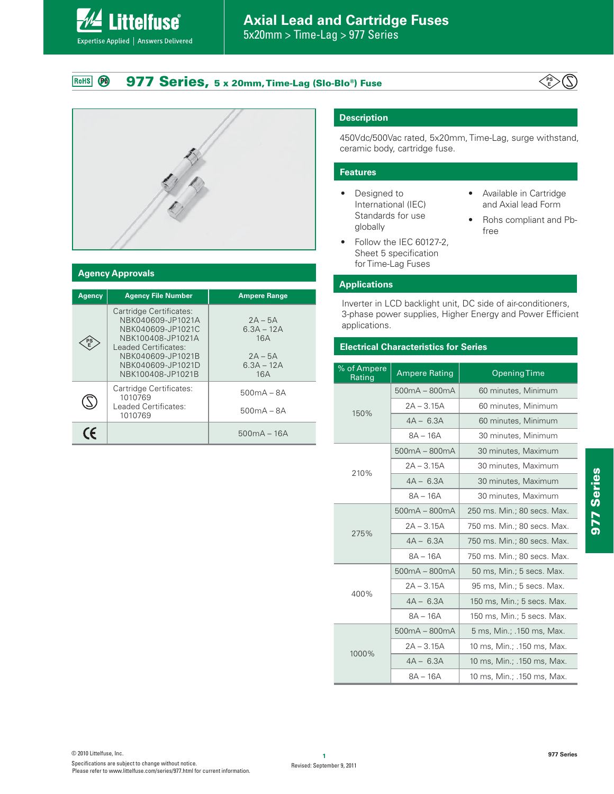# **Axial Lead and Cartridge Fuses** 5x20mm > Time-Lag > 977 Series

**977 Series, 5 x 20mm, Time-Lag (Slo-Blo®) Fuse** RoHS **PO** 





**Littelfuse**®

Expertise Applied | Answers Delivered

## **Agency Approvals**

| <b>Agency</b> | <b>Agency File Number</b>                                                                                                                                                     | <b>Ampere Range</b>                                                  |  |
|---------------|-------------------------------------------------------------------------------------------------------------------------------------------------------------------------------|----------------------------------------------------------------------|--|
| PS            | Cartridge Certificates:<br>NBK040609-JP1021A<br>NBK040609-JP1021C<br>NBK100408-JP1021A<br>Leaded Certificates:<br>NBK040609-JP1021B<br>NBK040609-JP1021D<br>NBK100408-JP1021B | $2A - 5A$<br>$6.3A - 12A$<br>16A<br>$2A - 5A$<br>$6.3A - 12A$<br>16A |  |
|               | Cartridge Certificates:<br>1010769<br>Leaded Certificates:<br>1010769                                                                                                         | $500mA - 8A$<br>$500mA - 8A$                                         |  |
| CE            |                                                                                                                                                                               | $500mA - 16A$                                                        |  |

## **Description**

450Vdc/500Vac rated, 5x20mm, Time-Lag, surge withstand, ceramic body, cartridge fuse.

#### **Features**

- Designed to International (IEC) Standards for use globally
- Follow the IEC 60127-2, Sheet 5 specification for Time-Lag Fuses
- Available in Cartridge and Axial lead Form
- Rohs compliant and Pbfree

## **Applications**

Inverter in LCD backlight unit, DC side of air-conditioners, 3-phase power supplies, Higher Energy and Power Efficient applications.

## **Electrical Characteristics for Series**

| % of Ampere<br>Rating | <b>Ampere Rating</b> | <b>Opening Time</b>         |  |  |
|-----------------------|----------------------|-----------------------------|--|--|
| 150%                  | $500mA - 800mA$      | 60 minutes, Minimum         |  |  |
|                       | $2A - 3.15A$         | 60 minutes, Minimum         |  |  |
|                       | $4A - 6.3A$          | 60 minutes, Minimum         |  |  |
|                       | $8A - 16A$           | 30 minutes, Minimum         |  |  |
|                       | $500mA - 800mA$      | 30 minutes, Maximum         |  |  |
| 210%                  | $2A - 3.15A$         | 30 minutes, Maximum         |  |  |
|                       | $4A - 6.3A$          | 30 minutes, Maximum         |  |  |
|                       | $8A - 16A$           | 30 minutes, Maximum         |  |  |
|                       | $500mA - 800mA$      | 250 ms. Min.; 80 secs. Max. |  |  |
| 275%                  | $2A - 3.15A$         | 750 ms. Min.; 80 secs. Max. |  |  |
|                       | $4A - 6.3A$          | 750 ms. Min.; 80 secs. Max. |  |  |
|                       | $8A - 16A$           | 750 ms. Min.; 80 secs. Max. |  |  |
|                       | $500mA - 800mA$      | 50 ms, Min.; 5 secs. Max.   |  |  |
| 400%                  | $2A - 3.15A$         | 95 ms, Min.; 5 secs. Max.   |  |  |
|                       | $4A - 6.3A$          | 150 ms, Min.; 5 secs. Max.  |  |  |
|                       | $8A - 16A$           | 150 ms, Min.; 5 secs. Max.  |  |  |
|                       | $500mA - 800mA$      | 5 ms, Min.; .150 ms, Max.   |  |  |
| 1000%                 | $2A - 3.15A$         | 10 ms, Min.; .150 ms, Max.  |  |  |
|                       | $4A - 6.3A$          | 10 ms, Min.; .150 ms, Max.  |  |  |
|                       | $8A - 16A$           | 10 ms, Min.; .150 ms, Max.  |  |  |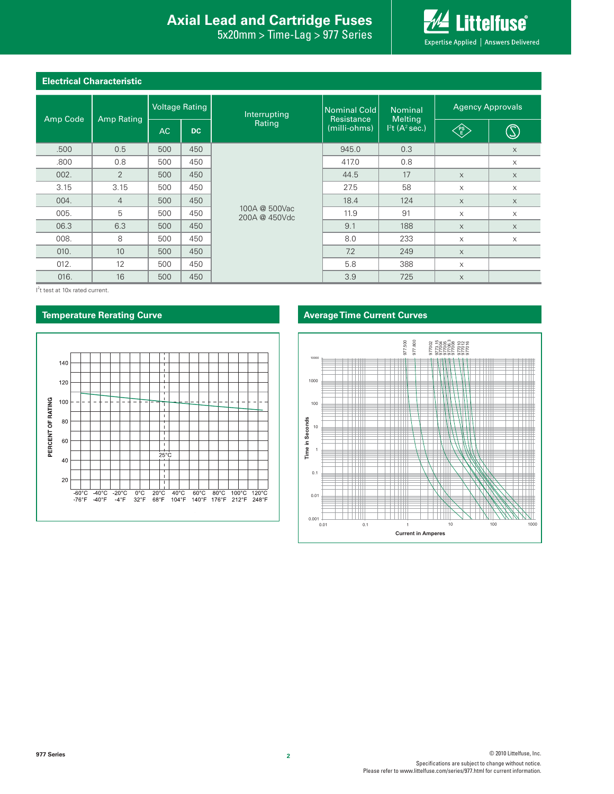# **Introduction Interal Axial Lead and Cartridge Fuses**

5x20mm > Time-Lag > 977 Series



# **Electrical Characteristic**

| Amp Code | <b>Amp Rating</b> | <b>Voltage Rating</b> |           | Interrupting                   | Nominal Cold<br>Resistance | <b>Nominal</b><br><b>Melting</b> | <b>Agency Approvals</b>                                                       |              |
|----------|-------------------|-----------------------|-----------|--------------------------------|----------------------------|----------------------------------|-------------------------------------------------------------------------------|--------------|
|          |                   | AC.                   | <b>DC</b> | Rating                         | (milli-ohms)               | $12t$ (A <sup>2</sup> sec.)      | $\left\langle \begin{matrix} \text{PS} \ \text{E} \end{matrix} \right\rangle$ | $\mathbb{Z}$ |
| .500     | 0.5               | 500                   | 450       |                                | 945.0                      | 0.3                              |                                                                               | $\times$     |
| .800     | 0.8               | 500                   | 450       | 100A @ 500Vac<br>200A @ 450Vdc | 417.0                      | 0.8                              |                                                                               | X            |
| 002.     | 2                 | 500                   | 450       |                                | 44.5                       | 17                               | $\times$                                                                      | $\times$     |
| 3.15     | 3.15              | 500                   | 450       |                                | 27.5                       | 58                               | X                                                                             | X            |
| 004.     | $\overline{4}$    | 500                   | 450       |                                | 18.4                       | 124                              | $\times$                                                                      | $\times$     |
| 005.     | 5                 | 500                   | 450       |                                | 11.9                       | 91                               | X                                                                             | X            |
| 06.3     | 6.3               | 500                   | 450       |                                | 9.1                        | 188                              | $\times$                                                                      | $\times$     |
| 008.     | 8                 | 500                   | 450       |                                | 8.0                        | 233                              | $\times$                                                                      | X            |
| 010.     | 10                | 500                   | 450       |                                | 7.2                        | 249                              | $\times$                                                                      |              |
| 012.     | 12                | 500                   | 450       |                                | 5.8                        | 388                              | X                                                                             |              |
| 016.     | 16                | 500                   | 450       |                                | 3.9                        | 725                              | $\times$                                                                      |              |

I<sup>2</sup>t test at 10x rated current.



## **Temperature Rerating Curve Average Time Current Curves**

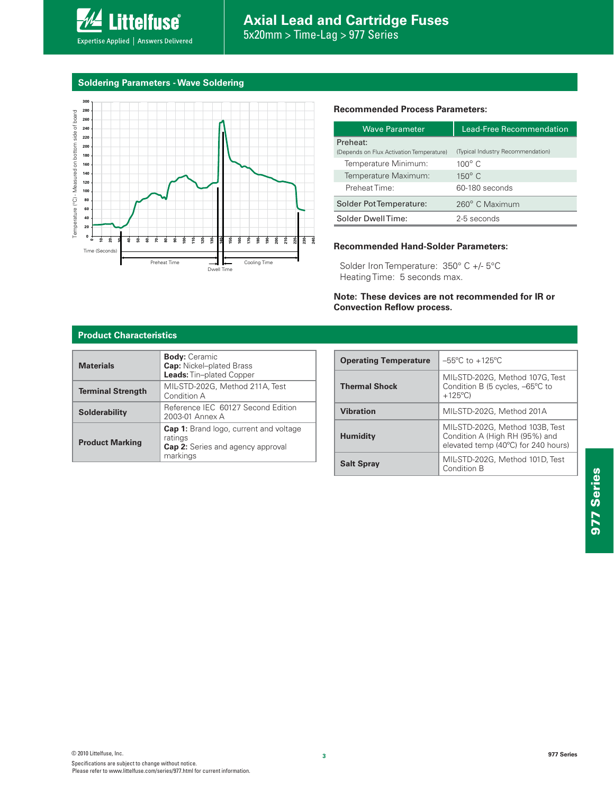

## **Soldering Parameters - Wave Soldering**



#### **Recommended Process Parameters:**

| <b>Wave Parameter</b>                    | Lead-Free Recommendation          |  |  |
|------------------------------------------|-----------------------------------|--|--|
| Preheat:                                 |                                   |  |  |
| (Depends on Flux Activation Temperature) | (Typical Industry Recommendation) |  |  |
| Temperature Minimum:                     | $100^{\circ}$ C                   |  |  |
| Temperature Maximum:                     | $150^\circ$ C                     |  |  |
| Preheat Time:                            | 60-180 seconds                    |  |  |
| Solder Pot Temperature:                  | 260° C Maximum                    |  |  |
| Solder DwellTime:                        | 2-5 seconds                       |  |  |

#### **Recommended Hand-Solder Parameters:**

Solder Iron Temperature: 350° C +/- 5°C Heating Time: 5 seconds max.

#### **Note: These devices are not recommended for IR or Convection Reflow process.**

#### **Product Characteristics**

| <b>Materials</b>         | <b>Body:</b> Ceramic<br><b>Cap:</b> Nickel-plated Brass<br>Leads: Tin-plated Copper                              |  |  |
|--------------------------|------------------------------------------------------------------------------------------------------------------|--|--|
| <b>Terminal Strength</b> | MIL-STD-202G, Method 211A, Test<br>Condition A                                                                   |  |  |
| <b>Solderability</b>     | Reference IEC 60127 Second Edition<br>2003-01 Annex A                                                            |  |  |
| <b>Product Marking</b>   | <b>Cap 1:</b> Brand logo, current and voltage<br>ratings<br><b>Cap 2:</b> Series and agency approval<br>markings |  |  |

| <b>Operating Temperature</b> | $-55^{\circ}$ C to $+125^{\circ}$ C                                                                      |  |
|------------------------------|----------------------------------------------------------------------------------------------------------|--|
| <b>Thermal Shock</b>         | MIL-STD-202G, Method 107G, Test<br>Condition B (5 cycles, -65°C to<br>$+125^{\circ}$ C)                  |  |
| <b>Vibration</b>             | MIL-STD-202G, Method 201A                                                                                |  |
| <b>Humidity</b>              | MIL-STD-202G, Method 103B, Test<br>Condition A (High RH (95%) and<br>elevated temp (40°C) for 240 hours) |  |
| <b>Salt Spray</b>            | MIL-STD-202G, Method 101D, Test<br>Condition B                                                           |  |